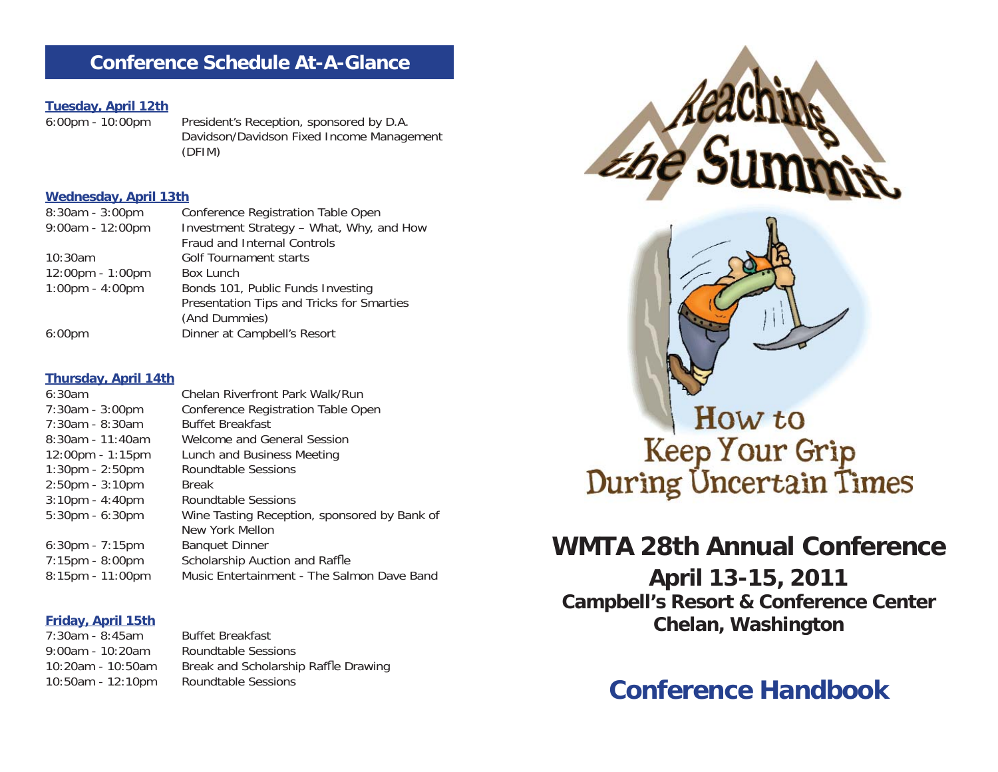### **Conference Schedule At-A-Glance**

# **Tuesday, April 12th**

President's Reception, sponsored by D.A. Davidson/Davidson Fixed Income Management (DFIM)

#### **Wednesday, April 13th**

| $8:30am - 3:00pm$                 | Conference Registration Table Open        |
|-----------------------------------|-------------------------------------------|
| $9:00am - 12:00pm$                | Investment Strategy - What, Why, and How  |
|                                   | Fraud and Internal Controls               |
| 10:30am                           | <b>Golf Tournament starts</b>             |
| 12:00pm - 1:00pm                  | Box Lunch                                 |
| $1:00 \text{pm} - 4:00 \text{pm}$ | Bonds 101, Public Funds Investing         |
|                                   | Presentation Tips and Tricks for Smarties |
|                                   | (And Dummies)                             |
| $6:00 \text{pm}$                  | Dinner at Campbell's Resort               |

#### **Thursday, April 14th**

| 6:30am                            | Chelan Riverfront Park Walk/Run              |
|-----------------------------------|----------------------------------------------|
| 7:30am - 3:00pm                   | Conference Registration Table Open           |
| $7:30$ am - 8:30am                | <b>Buffet Breakfast</b>                      |
| $8:30$ am - 11:40am               | Welcome and General Session                  |
| $12:00$ pm - 1:15pm               | Lunch and Business Meeting                   |
| $1:30 \text{pm} - 2:50 \text{pm}$ | Roundtable Sessions                          |
| $2:50$ pm - $3:10$ pm             | <b>Break</b>                                 |
| $3:10$ pm - $4:40$ pm             | Roundtable Sessions                          |
| $5:30$ pm - $6:30$ pm             | Wine Tasting Reception, sponsored by Bank of |
|                                   | New York Mellon                              |
| $6:30$ pm - 7:15pm                | <b>Banquet Dinner</b>                        |
| $7:15$ pm - $8:00$ pm             | Scholarship Auction and Raffle               |
| 8:15pm - 11:00pm                  | Music Entertainment - The Salmon Dave Band   |

#### **Friday, April 15th**

7:30am - 8:45am Buffet Breakfast9:00am - 10:20am Roundtable Sessions 10:20am - 10:50am Break and Scholarship Raffle Drawing 10:50am - 12:10pm Roundtable Sessions



How to Keep Your Grip<br>During Uncertain Times

# **WMTA 28th Annual Conference**

**April 13-15, 2011 Campbell's Resort & Conference Center Chelan, Washington**

# **Conference Handbook**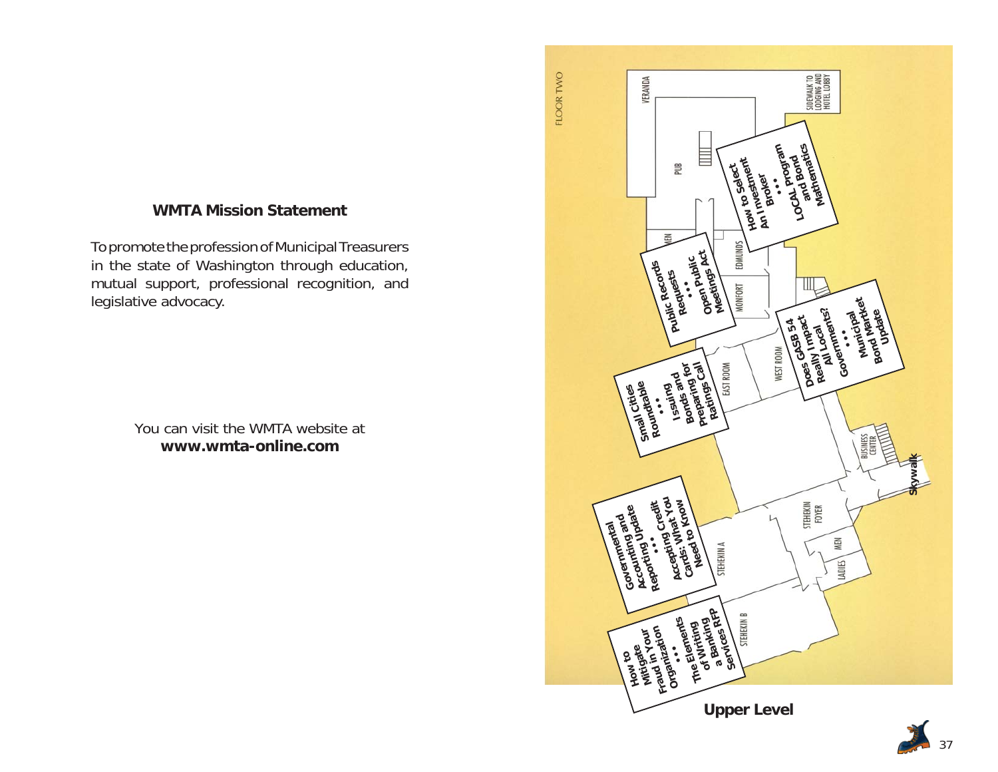### **WMTA Mission Statement**

To promote the profession of Municipal Treasurers in the state of Washington through education, mutual support, professional recognition, and legislative advocacy.

> You can visit the WMTA website at**www.wmta-online.com**

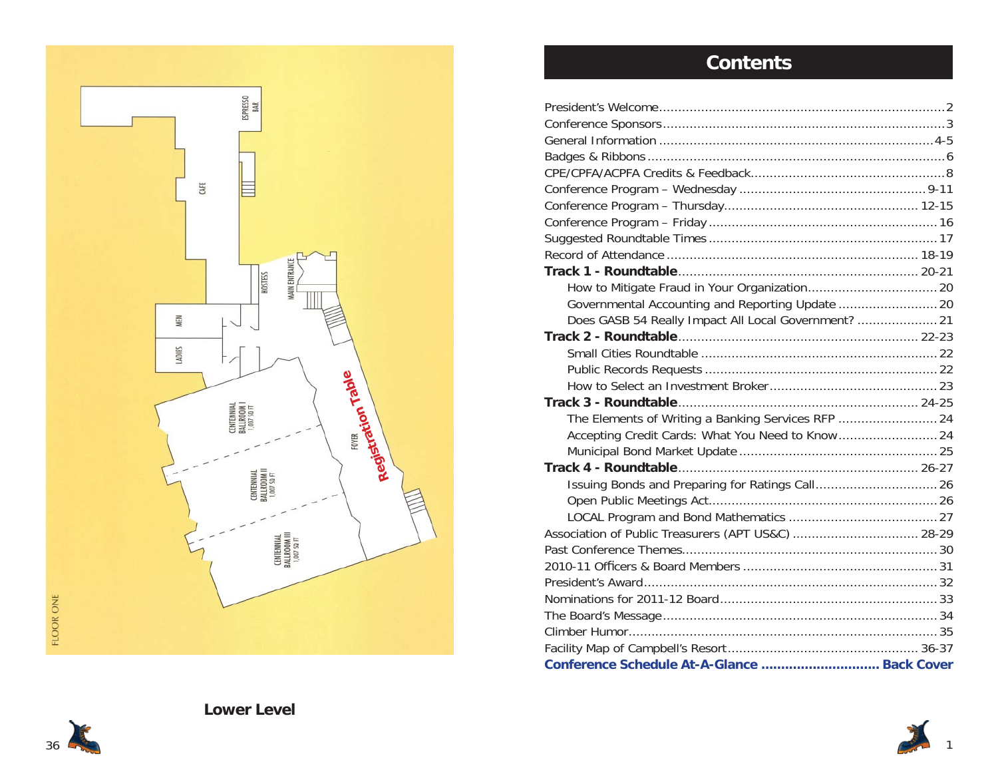

# **Contents**

| Governmental Accounting and Reporting Update  20     |  |
|------------------------------------------------------|--|
| Does GASB 54 Really Impact All Local Government?  21 |  |
|                                                      |  |
|                                                      |  |
|                                                      |  |
|                                                      |  |
|                                                      |  |
| The Elements of Writing a Banking Services RFP  24   |  |
|                                                      |  |
|                                                      |  |
|                                                      |  |
|                                                      |  |
|                                                      |  |
|                                                      |  |
| Association of Public Treasurers (APT US&C)  28-29   |  |
|                                                      |  |
|                                                      |  |
|                                                      |  |
|                                                      |  |
|                                                      |  |
|                                                      |  |
|                                                      |  |
| Conference Schedule At-A-Glance  Back Cover          |  |



1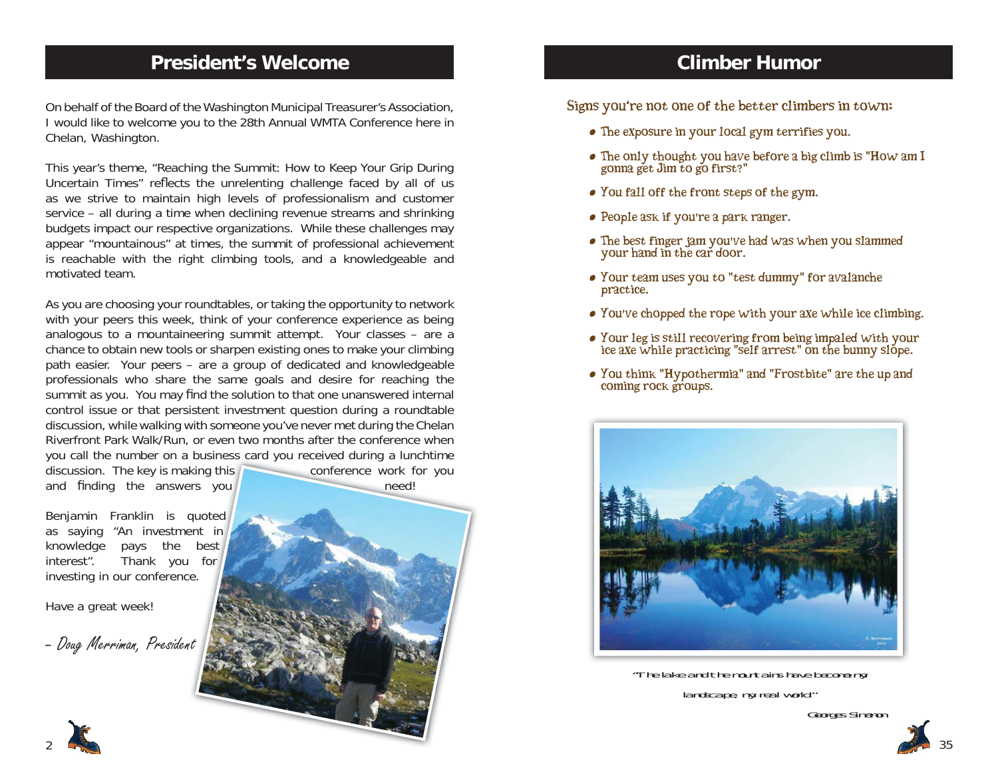## **President's Welcome**

On behalf of the Board of the Washington Municipal Treasurer's Association, I would like to welcome you to the 28th Annual WMTA Conference here in Chelan, Washington.

This year's theme, "Reaching the Summit: How to Keep Your Grip During Uncertain Times" reflects the unrelenting challenge faced by all of us as we strive to maintain high levels of professionalism and customer service – all during a time when declining revenue streams and shrinking budgets impact our respective organizations. While these challenges may appear "mountainous" at times, the summit of professional achievement is reachable with the right climbing tools, and a knowledgeable and motivated team.

As you are choosing your roundtables, or taking the opportunity to network with your peers this week, think of your conference experience as being analogous to a mountaineering summit attempt. Your classes – are a chance to obtain new tools or sharpen existing ones to make your climbing path easier. Your peers – are a group of dedicated and knowledgeable professionals who share the same goals and desire for reaching the summit as you. You may find the solution to that one unanswered internal control issue or that persistent investment question during a roundtable discussion, while walking with someone you've never met during the Chelan Riverfront Park Walk/Run, or even two months after the conference when you call the number on a business card you received during a lunchtime business card you received during <sup>a</sup> lunchtime

discussion. The key is making this and finding the answers you **need** need

conference work for you

Benjamin Franklin is quoted as saying "An investment in knowledge pays the best interest". Thank you for investing in our conference.

Have a great week!

– Doug Me*rrim*an, President

**Climber Humor**

Signs you're not one of the better climbers in town:

- The exposure in your local gym terrifies you.
- The only thought you have before a big climb is "How am I gonna get Jim to go first?"
- You fall off the front steps of the gym.
- People ask if you're a park ranger.
- The best finger jam you've had was when you slammed your hand in the car door.
- Your team uses you to "test dummy" for avalanche practice.
- You've chopped the rope with your axe while ice climbing.
- Your leg is still recovering from being impaled with your ice axe while practicing "self arrest" on the bunny slope.
- You think "Hypothermia" and "Frostbite" are the up and coming rock groups.



"The lake and the mountains have become my landscape, my real world."



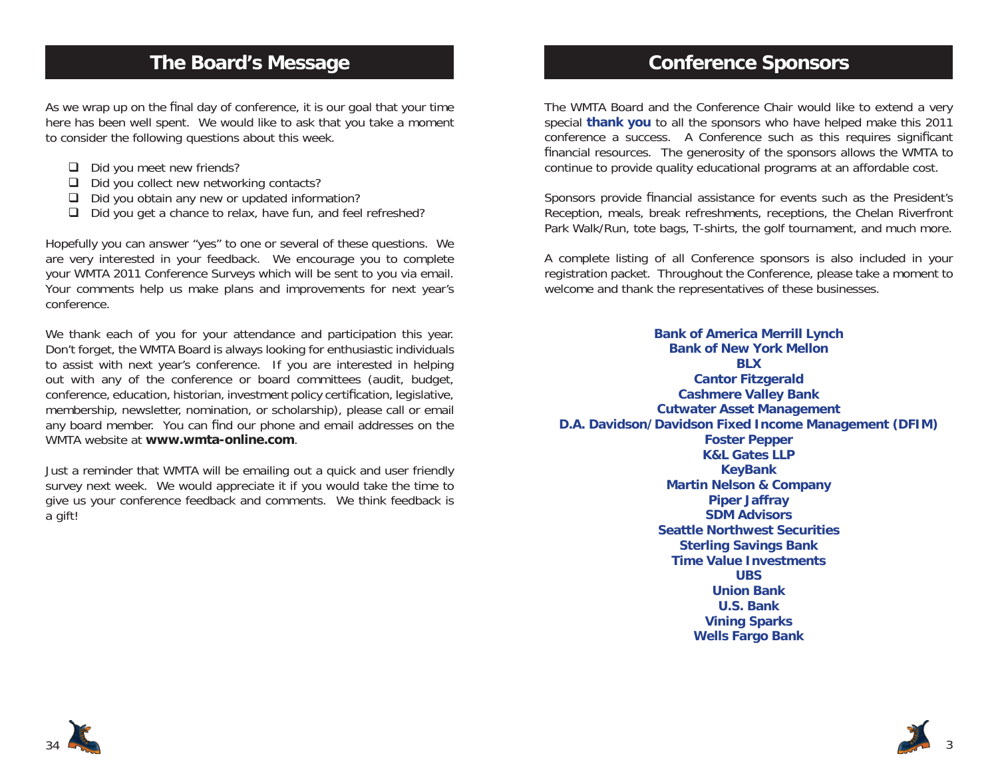### **The Board's Message**

As we wrap up on the final day of conference, it is our goal that your time here has been well spent. We would like to ask that you take a moment to consider the following questions about this week.

- $\Box$  Did you meet new friends?
- $\Box$  Did you collect new networking contacts?
- $\Box$  Did you obtain any new or updated information?
- $\Box$  Did you get a chance to relax, have fun, and feel refreshed?

Hopefully you can answer "yes" to one or several of these questions. We are very interested in your feedback. We encourage you to complete your WMTA 2011 Conference Surveys which will be sent to you via email. Your comments help us make plans and improvements for next year's conference.

We thank each of you for your attendance and participation this year. Don't forget, the WMTA Board is always looking for enthusiastic individuals to assist with next year's conference. If you are interested in helping out with any of the conference or board committees (audit, budget, conference, education, historian, investment policy certification, legislative, membership, newsletter, nomination, or scholarship), please call or email any board member. You can find our phone and email addresses on the WMTA website at **www.wmta-online.com**.

Just a reminder that WMTA will be emailing out a quick and user friendly survey next week. We would appreciate it if you would take the time to give us your conference feedback and comments. We think feedback is a gift!

### **Conference Sponsors**

The WMTA Board and the Conference Chair would like to extend a very special **thank you** to all the sponsors who have helped make this 2011 conference a success. A Conference such as this requires significant financial resources. The generosity of the sponsors allows the WMTA to continue to provide quality educational programs at an affordable cost.

Sponsors provide financial assistance for events such as the President's Reception, meals, break refreshments, receptions, the Chelan Riverfront Park Walk/Run, tote bags, T-shirts, the golf tournament, and much more.

A complete listing of all Conference sponsors is also included in your registration packet. Throughout the Conference, please take a moment to welcome and thank the representatives of these businesses.

**Bank of America Merrill Lynch Bank of New York MellonBLXCantor Fitzgerald Cashmere Valley Bank Cutwater Asset Management D.A. Davidson/Davidson Fixed Income Management (DFIM) Foster Pepper K&L Gates LLP KeyBank Martin Nelson & Company Piper Jaffray SDM AdvisorsSeattle Northwest SecuritiesSterling Savings Bank Time Value InvestmentsUBSUnion BankU.S. BankVining Sparks Wells Fargo Bank**



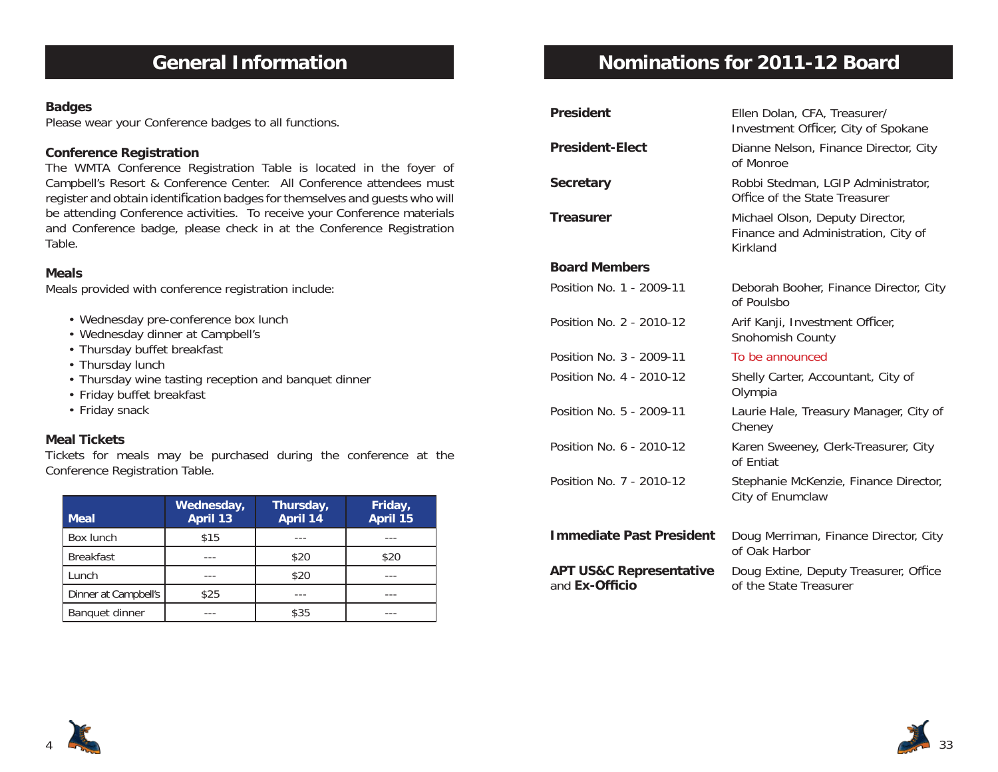# **General Information**

#### **Badges**

Please wear your Conference badges to all functions.

#### **Conference Registration**

The WMTA Conference Registration Table is located in the foyer of Campbell's Resort & Conference Center. All Conference attendees must register and obtain identification badges for themselves and guests who will be attending Conference activities. To receive your Conference materials and Conference badge, please check in at the Conference Registration Table.

#### **Meals**

Meals provided with conference registration include:

- Wednesday pre-conference box lunch
- Wednesday dinner at Campbell's
- Thursday buffet breakfast
- Thursday lunch
- Thursday wine tasting reception and banquet dinner
- Friday buffet breakfast
- Friday snack

#### **Meal Tickets**

Tickets for meals may be purchased during the conference at the Conference Registration Table.

| <b>Meal</b>          | Wednesday,<br>April 13 | Thursday,<br>April 14 | Friday,<br>April 15 |
|----------------------|------------------------|-----------------------|---------------------|
| Box lunch            | \$15                   |                       |                     |
| <b>Breakfast</b>     |                        | \$20                  | \$20                |
| Lunch                |                        | \$20                  |                     |
| Dinner at Campbell's | \$25                   |                       |                     |
| Banquet dinner       |                        | \$35                  |                     |

# **Nominations for 2011-12 Board**

| <b>President</b>                                     | Ellen Dolan, CFA, Treasurer/<br>Investment Officer, City of Spokane                |
|------------------------------------------------------|------------------------------------------------------------------------------------|
| <b>President-Elect</b>                               | Dianne Nelson, Finance Director, City<br>of Monroe                                 |
| <b>Secretary</b>                                     | Robbi Stedman, LGIP Administrator,<br>Office of the State Treasurer                |
| <b>Treasurer</b>                                     | Michael Olson, Deputy Director,<br>Finance and Administration, City of<br>Kirkland |
| <b>Board Members</b>                                 |                                                                                    |
| Position No. 1 - 2009-11                             | Deborah Booher, Finance Director, City<br>of Poulsbo                               |
| Position No. 2 - 2010-12                             | Arif Kanji, Investment Officer,<br>Snohomish County                                |
| Position No. 3 - 2009-11                             | To be announced                                                                    |
| Position No. 4 - 2010-12                             | Shelly Carter, Accountant, City of<br>Olympia                                      |
| Position No. 5 - 2009-11                             | Laurie Hale, Treasury Manager, City of<br>Cheney                                   |
| Position No. 6 - 2010-12                             | Karen Sweeney, Clerk-Treasurer, City<br>of Fntiat                                  |
| Position No. 7 - 2010-12                             | Stephanie McKenzie, Finance Director,<br>City of Enumclaw                          |
| <b>Immediate Past President</b>                      | Doug Merriman, Finance Director, City<br>of Oak Harbor                             |
| <b>APT US&amp;C Representative</b><br>and Ex-Officio | Doug Extine, Deputy Treasurer, Office<br>of the State Treasurer                    |



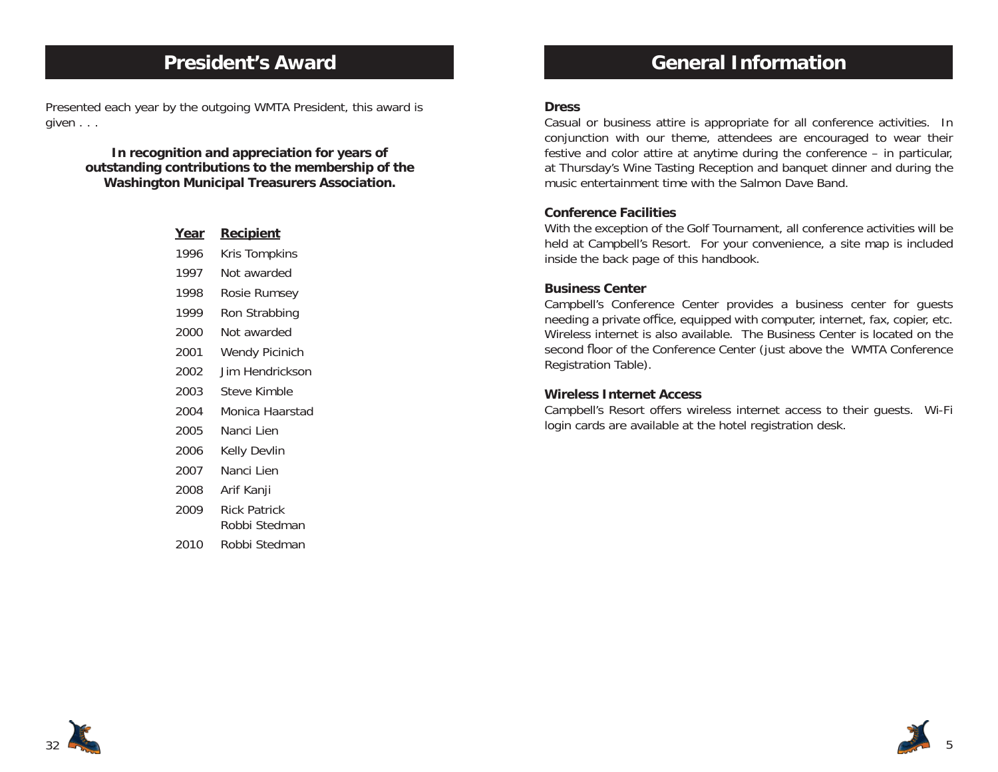### **President's Award**

Presented each year by the outgoing WMTA President, this award is given . . .

> **In recognition and appreciation for years of outstanding contributions to the membership of the Washington Municipal Treasurers Association.**

| <u>Year</u> | <u>Recipient</u>              |
|-------------|-------------------------------|
| 1996        | Kris Tompkins                 |
| 1997        | Not awarded                   |
| 1998        | Rosie Rumsey                  |
| 1999        | Ron Strabbing                 |
| 2000        | Not awarded                   |
| 2001        | <b>Wendy Picinich</b>         |
| 2002        | Jim Hendrickson               |
| 2003        | Steve Kimble                  |
| 2004        | Monica Haarstad               |
| 2005        | Nanci Lien                    |
| 2006        | Kelly Devlin                  |
| 2007        | Nanci Lien                    |
| 2008        | Arif Kanji                    |
| 2009        | Rick Patrick<br>Robbi Stedman |
| 2010        | Robbi Stedman                 |
|             |                               |

## **General Information**

#### **Dress**

Casual or business attire is appropriate for all conference activities. In conjunction with our theme, attendees are encouraged to wear their festive and color attire at anytime during the conference – in particular, at Thursday's Wine Tasting Reception and banquet dinner and during the music entertainment time with the Salmon Dave Band.

#### **Conference Facilities**

With the exception of the Golf Tournament, all conference activities will be held at Campbell's Resort. For your convenience, a site map is included inside the back page of this handbook.

#### **Business Center**

Campbell's Conference Center provides a business center for guests needing a private office, equipped with computer, internet, fax, copier, etc. Wireless internet is also available. The Business Center is located on the second floor of the Conference Center (just above the WMTA Conference Registration Table).

#### **Wireless Internet Access**

Campbell's Resort offers wireless internet access to their guests. Wi-Fi login cards are available at the hotel registration desk.



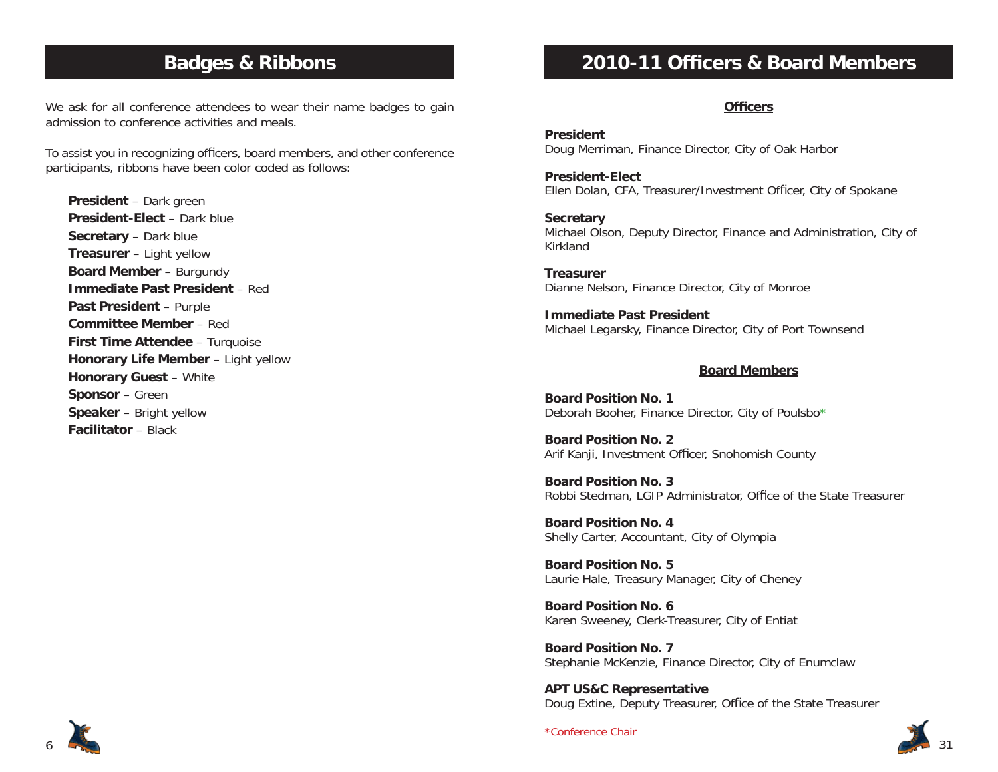### **Badges & Ribbons**

We ask for all conference attendees to wear their name badges to gain admission to conference activities and meals.

To assist you in recognizing officers, board members, and other conference participants, ribbons have been color coded as follows:

**President** – Dark green **President-Elect** – Dark blue**Secretary** – Dark blue **Treasurer** – Light yellow **Board Member** – Burgundy **Immediate Past President** – Red**Past President** – Purple **Committee Member** – Red**First Time Attendee** – Turquoise **Honorary Life Member** – Light yellow **Honorary Guest** – White **Sponsor** – Green **Speaker** – Bright yellow **Facilitator** – Black

# **2010-11 Officers & Board Members**

#### **Officers**

**President**Doug Merriman, Finance Director, City of Oak Harbor

**President-Elect**Ellen Dolan, CFA, Treasurer/Investment Officer, City of Spokane

**Secretary** Michael Olson, Deputy Director, Finance and Administration, City of Kirkland

**Treasurer**Dianne Nelson, Finance Director, City of Monroe

**Immediate Past President**Michael Legarsky, Finance Director, City of Port Townsend

#### **Board Members**

**Board Position No. 1**Deborah Booher, Finance Director, City of Poulsbo<sup>\*</sup>

**Board Position No. 2**Arif Kanji, Investment Officer, Snohomish County

**Board Position No. 3**Robbi Stedman, LGIP Administrator, Office of the State Treasurer

**Board Position No. 4**Shelly Carter, Accountant, City of Olympia

**Board Position No. 5**Laurie Hale, Treasury Manager, City of Cheney

**Board Position No. 6**Karen Sweeney, Clerk-Treasurer, City of Entiat

**Board Position No. 7**Stephanie McKenzie, Finance Director, City of Enumclaw

**APT US&C Representative** Doug Extine, Deputy Treasurer, Office of the State Treasurer



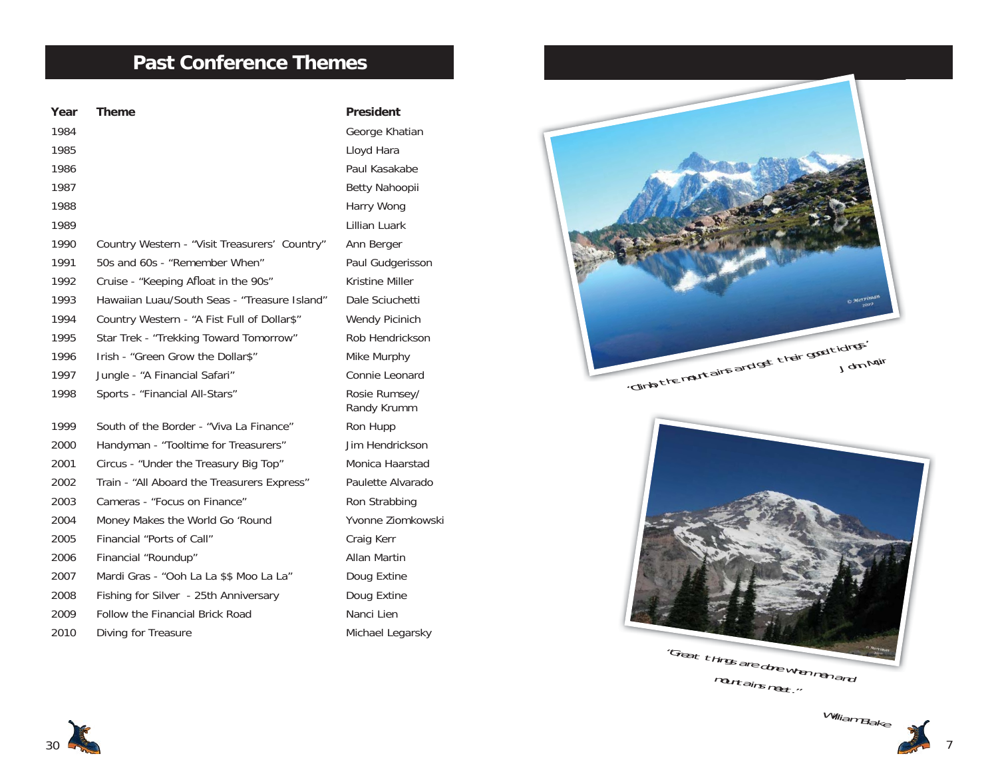## **Past Conference Themes**

| Year | <b>Theme</b>                                  | <b>President</b>             |
|------|-----------------------------------------------|------------------------------|
| 1984 |                                               | George Khatian               |
| 1985 |                                               | Lloyd Hara                   |
| 1986 |                                               | Paul Kasakabe                |
| 1987 |                                               | Betty Nahoopii               |
| 1988 |                                               | Harry Wong                   |
| 1989 |                                               | Lillian Luark                |
| 1990 | Country Western - "Visit Treasurers' Country" | Ann Berger                   |
| 1991 | 50s and 60s - "Remember When"                 | Paul Gudgerisson             |
| 1992 | Cruise - "Keeping Afloat in the 90s"          | <b>Kristine Miller</b>       |
| 1993 | Hawaiian Luau/South Seas - "Treasure Island"  | Dale Sciuchetti              |
| 1994 | Country Western - "A Fist Full of Dollar\$"   | Wendy Picinich               |
| 1995 | Star Trek - "Trekking Toward Tomorrow"        | Rob Hendrickson              |
| 1996 | Irish - "Green Grow the Dollar\$"             | Mike Murphy                  |
| 1997 | Jungle - "A Financial Safari"                 | Connie Leonard               |
| 1998 | Sports - "Financial All-Stars"                | Rosie Rumsey/<br>Randy Krumm |
| 1999 | South of the Border - "Viva La Finance"       | Ron Hupp                     |
| 2000 | Handyman - "Tooltime for Treasurers"          | Jim Hendrickson              |
| 2001 | Circus - "Under the Treasury Big Top"         | Monica Haarstad              |
| 2002 | Train - "All Aboard the Treasurers Express"   | Paulette Alvarado            |
| 2003 | Cameras - "Focus on Finance"                  | Ron Strabbing                |
| 2004 | Money Makes the World Go 'Round               | Yvonne Ziomkowski            |
| 2005 | Financial "Ports of Call"                     | Craig Kerr                   |
| 2006 | Financial "Roundup"                           | <b>Allan Martin</b>          |
| 2007 | Mardi Gras - "Ooh La La \$\$ Moo La La"       | Doug Extine                  |
| 2008 | Fishing for Silver - 25th Anniversary         | Doug Extine                  |
| 2009 | Follow the Financial Brick Road               | Nanci Lien                   |
| 2010 | Diving for Treasure                           | Michael Legarsky             |







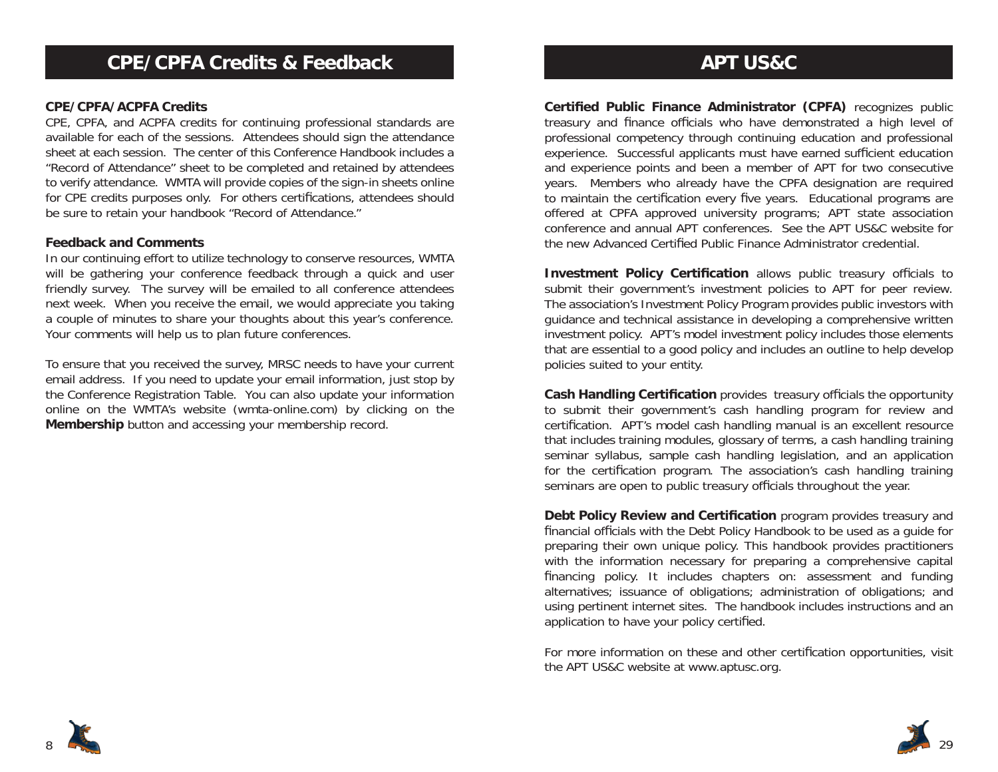#### **CPE/CPFA/ACPFA Credits**

CPE, CPFA, and ACPFA credits for continuing professional standards are available for each of the sessions. Attendees should sign the attendance sheet at each session. The center of this Conference Handbook includes a "Record of Attendance" sheet to be completed and retained by attendees to verify attendance. WMTA will provide copies of the sign-in sheets online for CPE credits purposes only. For others certifications, attendees should be sure to retain your handbook "Record of Attendance."

#### **Feedback and Comments**

In our continuing effort to utilize technology to conserve resources, WMTA will be gathering your conference feedback through a quick and user friendly survey. The survey will be emailed to all conference attendees next week. When you receive the email, we would appreciate you taking a couple of minutes to share your thoughts about this year's conference. Your comments will help us to plan future conferences.

To ensure that you received the survey, MRSC needs to have your current email address. If you need to update your email information, just stop by the Conference Registration Table. You can also update your information online on the WMTA's website (wmta-online.com) by clicking on the **Membership** button and accessing your membership record.

## **APT US&C**

**Certified Public Finance Administrator (CPFA)** recognizes public treasury and finance officials who have demonstrated a high level of professional competency through continuing education and professional experience. Successful applicants must have earned sufficient education and experience points and been a member of APT for two consecutive years. Members who already have the CPFA designation are required to maintain the certification every five years. Educational programs are offered at CPFA approved university programs; APT state association conference and annual APT conferences. See the APT US&C website for the new Advanced Certified Public Finance Administrator credential.

**Investment Policy Certification** allows public treasury officials to submit their government's investment policies to APT for peer review. The association's Investment Policy Program provides public investors with guidance and technical assistance in developing a comprehensive written investment policy. APT's model investment policy includes those elements that are essential to a good policy and includes an outline to help develop policies suited to your entity.

**Cash Handling Certification** provides treasury officials the opportunity to submit their government's cash handling program for review and certification. APT's model cash handling manual is an excellent resource that includes training modules, glossary of terms, a cash handling training seminar syllabus, sample cash handling legislation, and an application for the certification program. The association's cash handling training seminars are open to public treasury officials throughout the year.

**Debt Policy Review and Certification** program provides treasury and financial officials with the Debt Policy Handbook to be used as a quide for preparing their own unique policy. This handbook provides practitioners with the information necessary for preparing a comprehensive capital financing policy. It includes chapters on: assessment and funding alternatives; issuance of obligations; administration of obligations; and using pertinent internet sites. The handbook includes instructions and an application to have your policy certified.

For more information on these and other certification opportunities, visit the APT US&C website at www.aptusc.org.



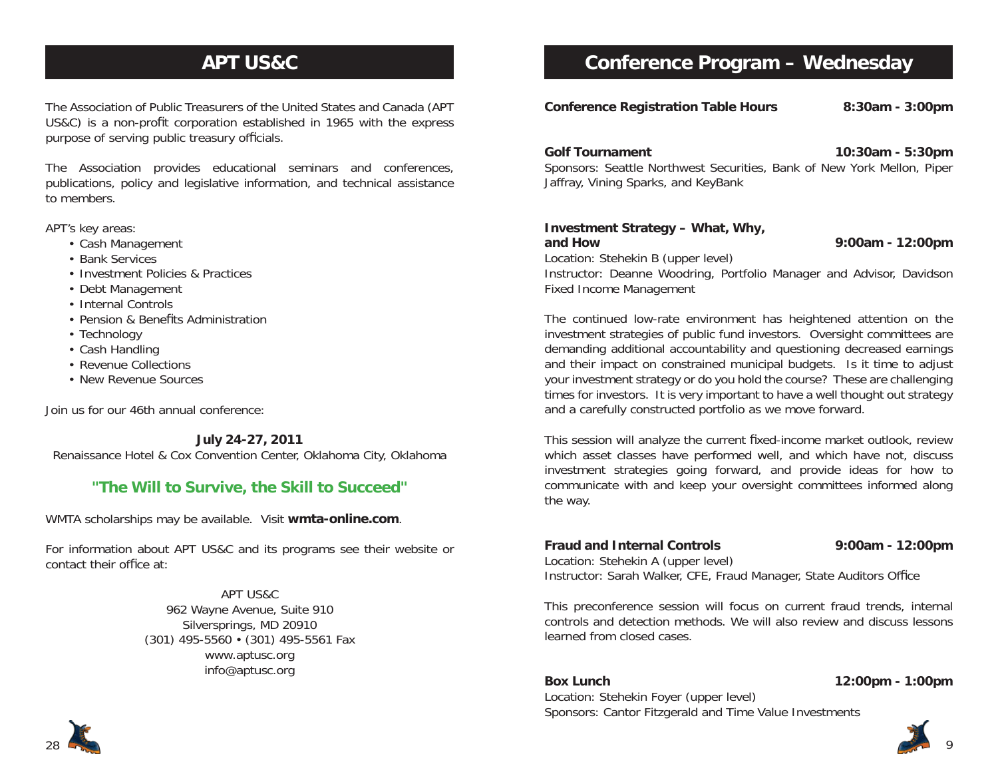# **APT US&C**

The Association of Public Treasurers of the United States and Canada (APT US&C) is a non-profit corporation established in 1965 with the express purpose of serving public treasury officials.

The Association provides educational seminars and conferences, publications, policy and legislative information, and technical assistance to members.

APT's key areas:

- Cash Management
- Bank Services
- Investment Policies & Practices
- Debt Management
- Internal Controls
- Pension & Benefits Administration
- Technology
- Cash Handling
- Revenue Collections
- New Revenue Sources

Join us for our 46th annual conference:

**July 24-27, 2011**

Renaissance Hotel & Cox Convention Center, Oklahoma City, Oklahoma

### **"The Will to Survive, the Skill to Succeed"**

WMTA scholarships may be available. Visit **wmta-online.com**.

For information about APT US&C and its programs see their website or contact their office at:

> APT US&C962 Wayne Avenue, Suite 910 Silversprings, MD 20910 (301) 495-5560 • (301) 495-5561 Fax www.aptusc.org info@aptusc.org

### **Conference Program – Wednesday**

**Conference Registration Table Hours 8:30am - 3:00pm**

**Golf Tournament 10:30am - 5:30pm**

Sponsors: Seattle Northwest Securities, Bank of New York Mellon, Piper Jaffray, Vining Sparks, and KeyBank

### **Investment Strategy – What, Why,**

**and How 9:00am - 12:00pm**

Location: Stehekin B (upper level) Instructor: Deanne Woodring, Portfolio Manager and Advisor, Davidson Fixed Income Management

The continued low-rate environment has heightened attention on the investment strategies of public fund investors. Oversight committees are demanding additional accountability and questioning decreased earnings and their impact on constrained municipal budgets. Is it time to adjust your investment strategy or do you hold the course? These are challenging times for investors. It is very important to have a well thought out strategy and a carefully constructed portfolio as we move forward.

This session will analyze the current fixed-income market outlook, review which asset classes have performed well, and which have not, discuss investment strategies going forward, and provide ideas for how to communicate with and keep your oversight committees informed along the way.

#### **Fraud and Internal Controls**

**9:00am - 12:00pm**

Location: Stehekin A (upper level)

Instructor: Sarah Walker, CFE, Fraud Manager, State Auditors Office

This preconference session will focus on current fraud trends, internal controls and detection methods. We will also review and discuss lessons learned from closed cases.

#### **Box Lunch 12:00pm - 1:00pm**

Location: Stehekin Foyer (upper level) Sponsors: Cantor Fitzgerald and Time Value Investments

9

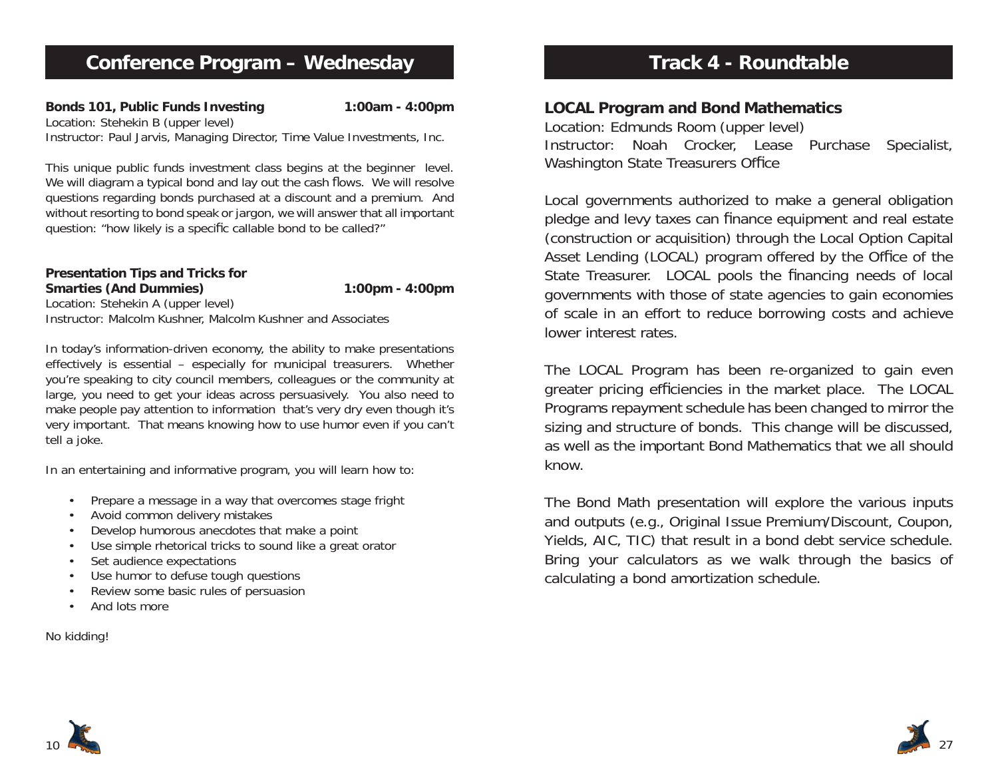**Bonds 101, Public Funds Investing 1:00am - 4:00pm** Location: Stehekin B (upper level) Instructor: Paul Jarvis, Managing Director, Time Value Investments, Inc.

This unique public funds investment class begins at the beginner level. We will diagram a typical bond and lay out the cash flows. We will resolve questions regarding bonds purchased at a discount and a premium. And without resorting to bond speak or jargon, we will answer that all important question: "how likely is a specific callable bond to be called?"

**Presentation Tips and Tricks for Smarties (And Dummies) 1:00pm - 4:00pm** Location: Stehekin A (upper level) Instructor: Malcolm Kushner, Malcolm Kushner and Associates

In today's information-driven economy, the ability to make presentations effectively is essential – especially for municipal treasurers. Whether you're speaking to city council members, colleagues or the community at large, you need to get your ideas across persuasively. You also need to make people pay attention to information that's very dry even though it's very important. That means knowing how to use humor even if you can't tell a joke.

In an entertaining and informative program, you will learn how to:

- Prepare a message in a way that overcomes stage fright
- Avoid common delivery mistakes
- Develop humorous anecdotes that make a point
- Use simple rhetorical tricks to sound like a great orator
- Set audience expectations
- Use humor to defuse tough questions
- Review some basic rules of persuasion
- And lots more

### No kidding!

# **Track 4 - Roundtable**

### **LOCAL Program and Bond Mathematics**

Location: Edmunds Room (upper level) Instructor: Noah Crocker, Lease Purchase Specialist, Washington State Treasurers Office

Local governments authorized to make a general obligation pledge and levy taxes can finance equipment and real estate (construction or acquisition) through the Local Option Capital Asset Lending (LOCAL) program offered by the Office of the State Treasurer. LOCAL pools the financing needs of local governments with those of state agencies to gain economies of scale in an effort to reduce borrowing costs and achieve lower interest rates.

The LOCAL Program has been re-organized to gain even greater pricing efficiencies in the market place. The LOCAL Programs repayment schedule has been changed to mirror the sizing and structure of bonds. This change will be discussed, as well as the important Bond Mathematics that we all should know.

The Bond Math presentation will explore the various inputs and outputs (e.g., Original Issue Premium/Discount, Coupon, Yields, AIC, TIC) that result in a bond debt service schedule. Bring your calculators as we walk through the basics of calculating a bond amortization schedule.



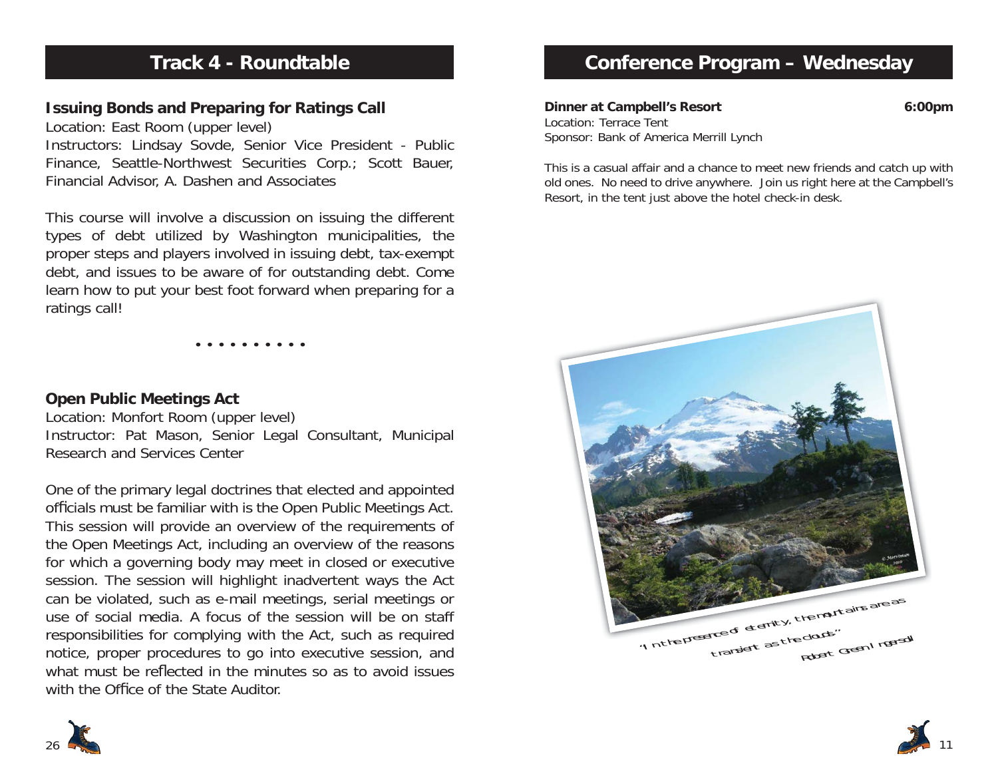# **Track 4 - Roundtable**

### **Issuing Bonds and Preparing for Ratings Call**

Location: East Room (upper level) Instructors: Lindsay Sovde, Senior Vice President - Public Finance, Seattle-Northwest Securities Corp.; Scott Bauer, Financial Advisor, A. Dashen and Associates

This course will involve a discussion on issuing the different types of debt utilized by Washington municipalities, the proper steps and players involved in issuing debt, tax-exempt debt, and issues to be aware of for outstanding debt. Come learn how to put your best foot forward when preparing for a ratings call!

• • • • • • • • • •

### **Open Public Meetings Act**

Location: Monfort Room (upper level) Instructor: Pat Mason, Senior Legal Consultant, Municipal Research and Services Center

One of the primary legal doctrines that elected and appointed officials must be familiar with is the Open Public Meetings Act. This session will provide an overview of the requirements of the Open Meetings Act, including an overview of the reasons for which a governing body may meet in closed or executive session. The session will highlight inadvertent ways the Act can be violated, such as e-mail meetings, serial meetings or use of social media. A focus of the session will be on staff responsibilities for complying with the Act, such as required notice, proper procedures to go into executive session, and what must be reflected in the minutes so as to avoid issues with the Office of the State Auditor.



**Dinner at Campbell's Resort 6:00pm** Location: Terrace TentSponsor: Bank of America Merrill Lynch

This is a casual affair and a chance to meet new friends and catch up with old ones. No need to drive anywhere. Join us right here at the Campbell's Resort, in the tent just above the hotel check-in desk.





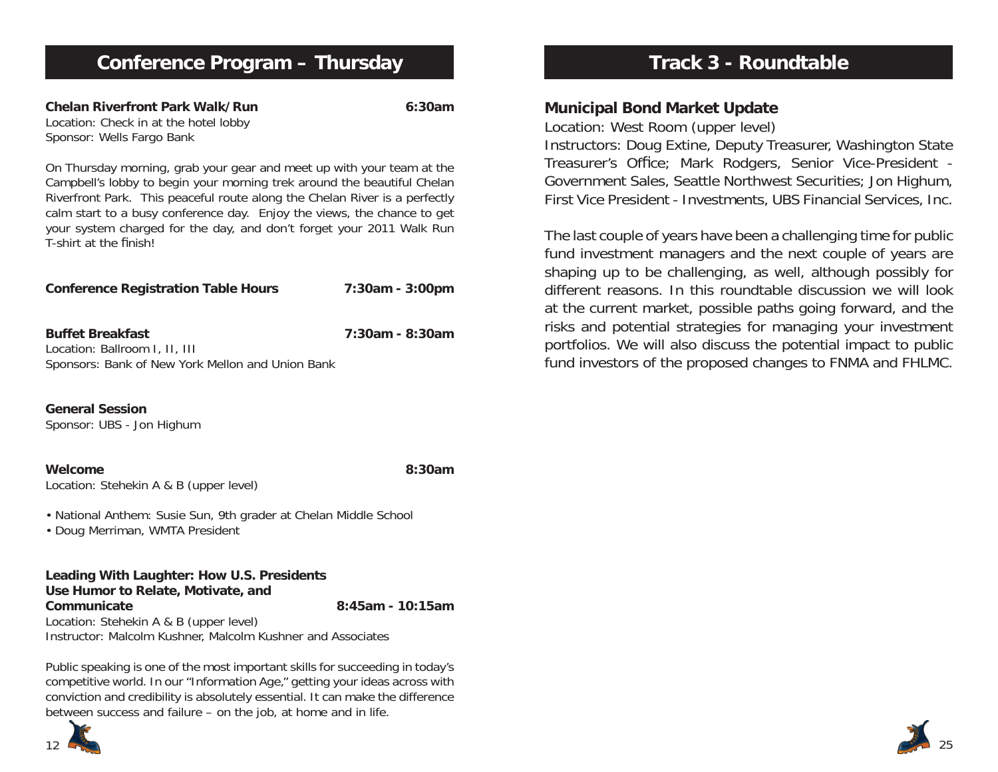**Chelan Riverfront Park Walk/Run 6:30am**Location: Check in at the hotel lobby Sponsor: Wells Fargo Bank

On Thursday morning, grab your gear and meet up with your team at the Campbell's lobby to begin your morning trek around the beautiful Chelan Riverfront Park. This peaceful route along the Chelan River is a perfectly calm start to a busy conference day. Enjoy the views, the chance to get your system charged for the day, and don't forget your 2011 Walk Run T-shirt at the finish!

| <b>Conference Registration Table Hours</b> | 7:30am - 3:00pm |
|--------------------------------------------|-----------------|
|                                            |                 |

**Buffet Breakfast 7:30am - 8:30am**Location: Ballroom I, II, III Sponsors: Bank of New York Mellon and Union Bank

**General Session**Sponsor: UBS - Jon Highum

**Welcome 8:30am**Location: Stehekin A & B (upper level)

• National Anthem: Susie Sun, 9th grader at Chelan Middle School

• Doug Merriman, WMTA President

**Leading With Laughter: How U.S. Presidents Use Humor to Relate, Motivate, and Communicate 8:45am - 10:15am**Location: Stehekin A & B (upper level) Instructor: Malcolm Kushner, Malcolm Kushner and Associates

Public speaking is one of the most important skills for succeeding in today's competitive world. In our "Information Age," getting your ideas across with conviction and credibility is absolutely essential. It can make the difference between success and failure – on the job, at home and in life.



# **Track 3 - Roundtable**

### **Municipal Bond Market Update**

Location: West Room (upper level)

Instructors: Doug Extine, Deputy Treasurer, Washington State Treasurer's Office; Mark Rodgers, Senior Vice-President -Government Sales, Seattle Northwest Securities; Jon Highum, First Vice President - Investments, UBS Financial Services, Inc.

The last couple of years have been a challenging time for public fund investment managers and the next couple of years are shaping up to be challenging, as well, although possibly for different reasons. In this roundtable discussion we will look at the current market, possible paths going forward, and the risks and potential strategies for managing your investment portfolios. We will also discuss the potential impact to public fund investors of the proposed changes to FNMA and FHLMC.

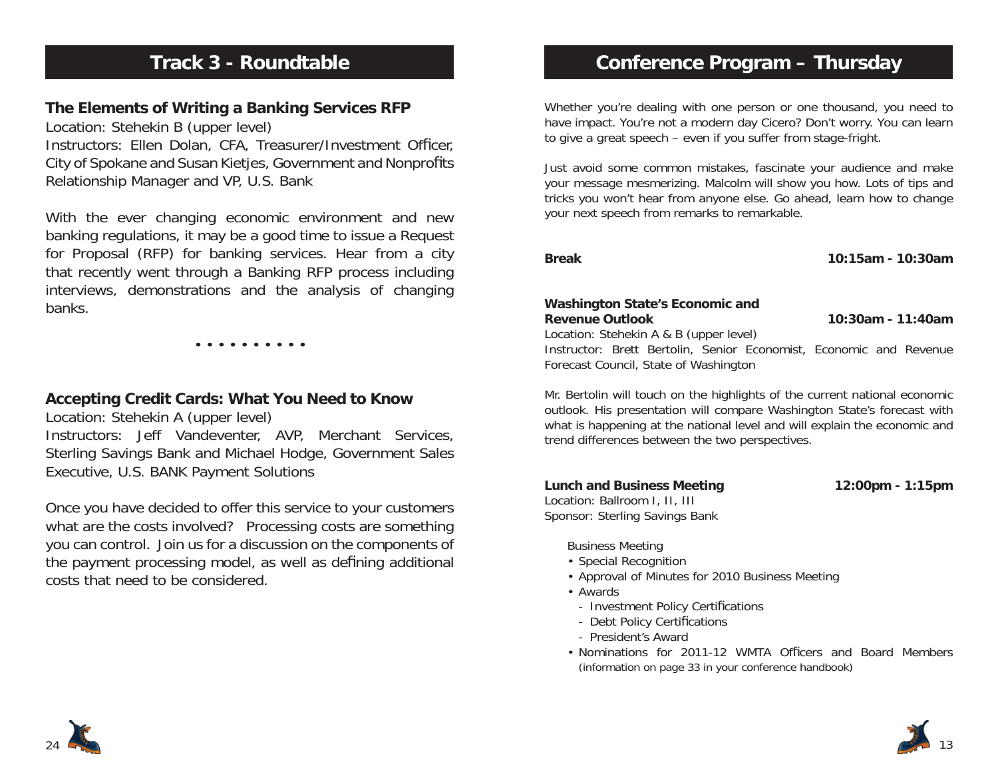# **Track 3 - Roundtable**

### **The Elements of Writing a Banking Services RFP**

Location: Stehekin B (upper level) Instructors: Ellen Dolan, CFA, Treasurer/Investment Officer, City of Spokane and Susan Kietjes, Government and Nonprofits Relationship Manager and VP, U.S. Bank

With the ever changing economic environment and new banking regulations, it may be a good time to issue a Request for Proposal (RFP) for banking services. Hear from a city that recently went through a Banking RFP process including interviews, demonstrations and the analysis of changing banks.

• • • • • • • • • •

### **Accepting Credit Cards: What You Need to Know**

Location: Stehekin A (upper level) Instructors: Jeff Vandeventer, AVP, Merchant Services, Sterling Savings Bank and Michael Hodge, Government Sales Executive, U.S. BANK Payment Solutions

Once you have decided to offer this service to your customers what are the costs involved? Processing costs are something you can control. Join us for a discussion on the components of the payment processing model, as well as defining additional costs that need to be considered.

## **Conference Program – Thursday**

Whether you're dealing with one person or one thousand, you need to have impact. You're not a modern day Cicero? Don't worry. You can learn to give a great speech – even if you suffer from stage-fright.

Just avoid some common mistakes, fascinate your audience and make your message mesmerizing. Malcolm will show you how. Lots of tips and tricks you won't hear from anyone else. Go ahead, learn how to change your next speech from remarks to remarkable.

**Break 10:15am - 10:30am**

#### **Washington State's Economic and Revenue Outlook 10:30am - 11:40am**

Location: Stehekin A & B (upper level)

Instructor: Brett Bertolin, Senior Economist, Economic and Revenue Forecast Council, State of Washington

Mr. Bertolin will touch on the highlights of the current national economic outlook. His presentation will compare Washington State's forecast with what is happening at the national level and will explain the economic and trend differences between the two perspectives.

**Lunch and Business Meeting 12:00pm - 1:15pm** Location: Ballroom I, II, III Sponsor: Sterling Savings Bank

Business Meeting

- Special Recognition
- Approval of Minutes for 2010 Business Meeting
- Awards
	- Investment Policy Certifications
- Debt Policy Certifications
- President's Award
- Nominations for 2011-12 WMTA Officers and Board Members (information on page 33 in your conference handbook)



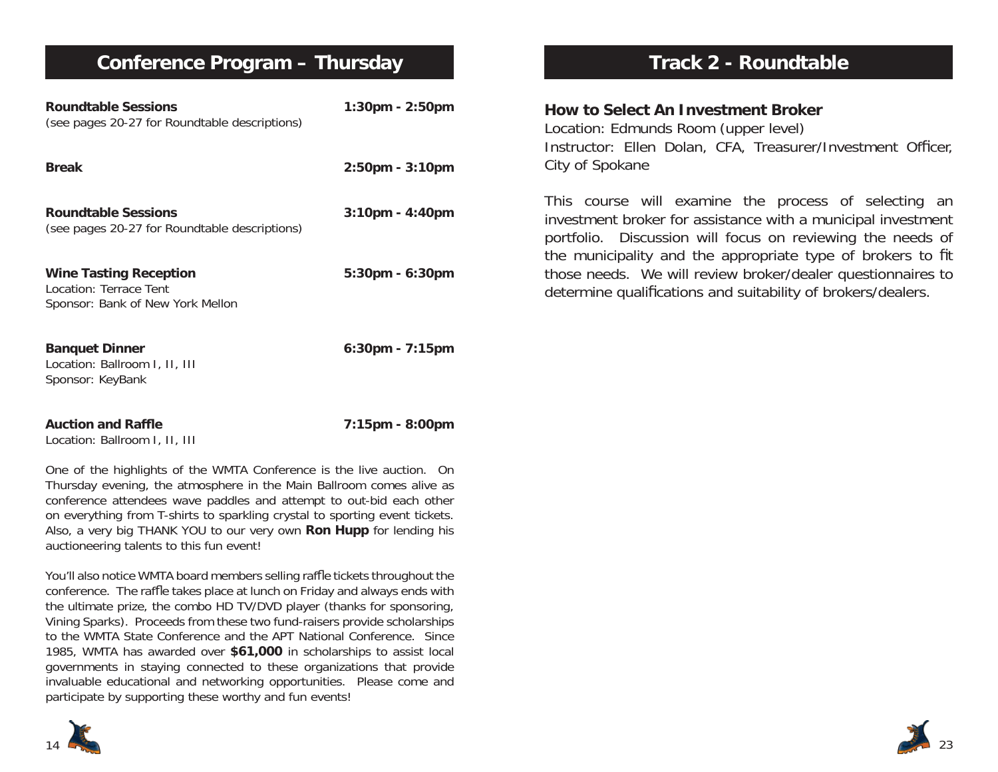## **Conference Program – Thursday**

| <b>Roundtable Sessions</b><br>(see pages 20-27 for Roundtable descriptions)                                                                                                                                                                                                                                                                                               | 1:30pm - 2:50pm       |  |  |
|---------------------------------------------------------------------------------------------------------------------------------------------------------------------------------------------------------------------------------------------------------------------------------------------------------------------------------------------------------------------------|-----------------------|--|--|
| <b>Break</b>                                                                                                                                                                                                                                                                                                                                                              | $2:50$ pm - $3:10$ pm |  |  |
| <b>Roundtable Sessions</b><br>(see pages 20-27 for Roundtable descriptions)                                                                                                                                                                                                                                                                                               | $3:10$ pm - $4:40$ pm |  |  |
| <b>Wine Tasting Reception</b><br>Location: Terrace Tent<br>Sponsor: Bank of New York Mellon                                                                                                                                                                                                                                                                               | 5:30pm - 6:30pm       |  |  |
| <b>Banquet Dinner</b><br>Location: Ballroom I, II, III<br>Sponsor: KeyBank                                                                                                                                                                                                                                                                                                | 6:30pm - 7:15pm       |  |  |
| <b>Auction and Raffle</b><br>Location: Ballroom I, II, III                                                                                                                                                                                                                                                                                                                | 7:15pm - 8:00pm       |  |  |
| One of the highlights of the WMTA Conference is the live auction. On<br>Thursday evening, the atmosphere in the Main Ballroom comes alive as<br>conference attendees wave paddles and attempt to out-bid each other<br>on everything from T-shirts to sparkling crystal to sporting event tickets.<br>Also, a very big THANK YOU to our very own Ron Hupp for lending his |                       |  |  |

You'll also notice WMTA board members selling raffle tickets throughout the conference. The raffle takes place at lunch on Friday and always ends with the ultimate prize, the combo HD TV/DVD player (thanks for sponsoring, Vining Sparks). Proceeds from these two fund-raisers provide scholarships to the WMTA State Conference and the APT National Conference. Since 1985, WMTA has awarded over **\$61,000** in scholarships to assist local governments in staying connected to these organizations that provide invaluable educational and networking opportunities. Please come and participate by supporting these worthy and fun events!

# **Track 2 - Roundtable**

### **How to Select An Investment Broker**

Location: Edmunds Room (upper level) Instructor: Ellen Dolan, CFA, Treasurer/Investment Officer, City of Spokane

This course will examine the process of selecting an investment broker for assistance with a municipal investment portfolio. Discussion will focus on reviewing the needs of the municipality and the appropriate type of brokers to fit those needs. We will review broker/dealer questionnaires to determine qualifications and suitability of brokers/dealers.



auctioneering talents to this fun event!

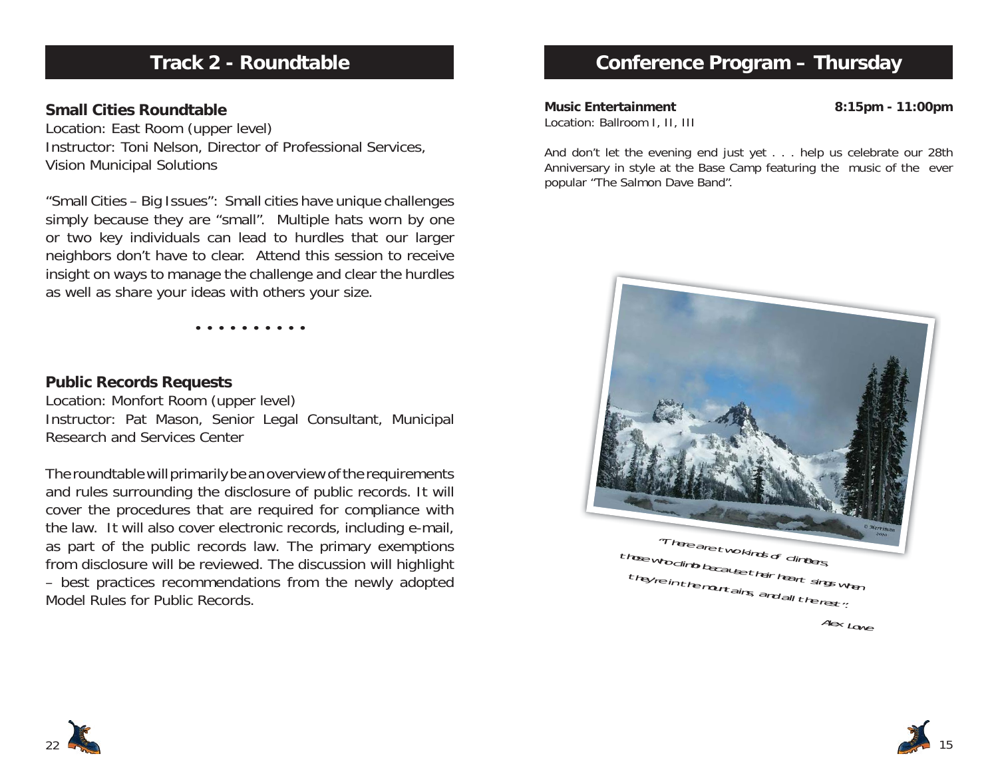# **Track 2 - Roundtable**

### **Small Cities Roundtable**

Location: East Room (upper level) Instructor: Toni Nelson, Director of Professional Services, Vision Municipal Solutions

"Small Cities – Big Issues": Small cities have unique challenges simply because they are "small". Multiple hats worn by one or two key individuals can lead to hurdles that our larger neighbors don't have to clear. Attend this session to receive insight on ways to manage the challenge and clear the hurdles as well as share your ideas with others your size.

• • • • • • • • • •

### **Public Records Requests**

Location: Monfort Room (upper level) Instructor: Pat Mason, Senior Legal Consultant, Municipal Research and Services Center

The roundtable will primarily be an overview of the requirements and rules surrounding the disclosure of public records. It will cover the procedures that are required for compliance with the law. It will also cover electronic records, including e-mail, as part of the public records law. The primary exemptions from disclosure will be reviewed. The discussion will highlight – best practices recommendations from the newly adopted Model Rules for Public Records.

## **Conference Program – Thursday**

**Music Entertainment 8:15pm - 11:00pm** Location: Ballroom I, II, III

And don't let the evening end just yet . . . help us celebrate our 28th Anniversary in style at the Base Camp featuring the music of the ever popular "The Salmon Dave Band".





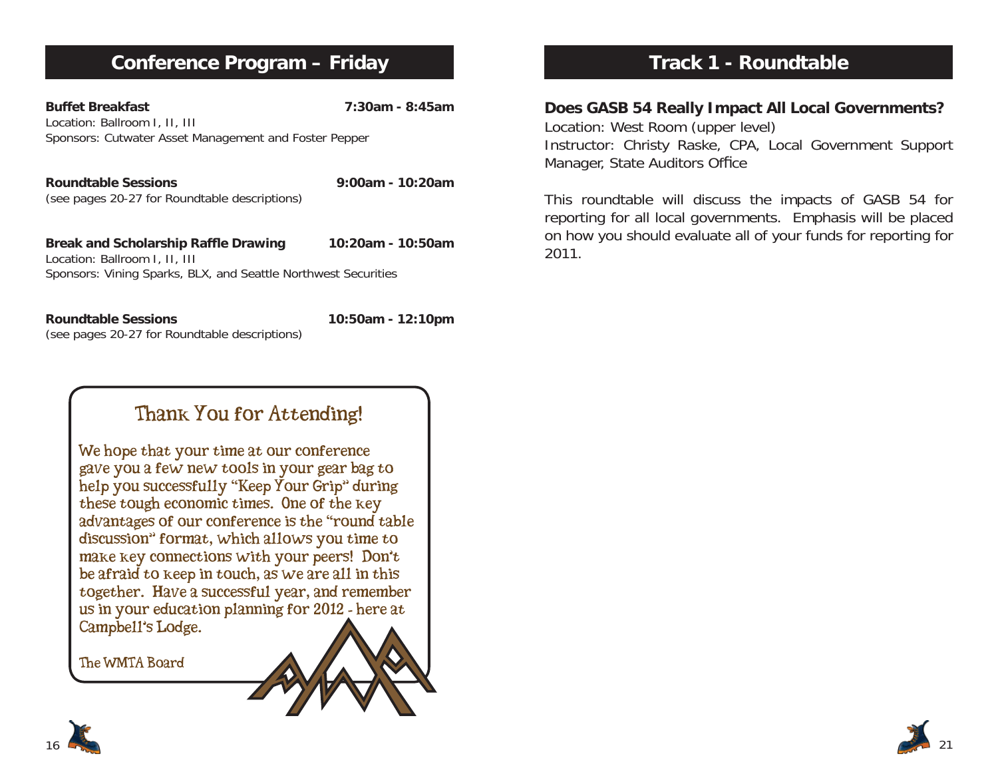# **Conference Program – Friday**

**Buffet Breakfast 7:30am - 8:45am**Location: Ballroom I, II, III Sponsors: Cutwater Asset Management and Foster Pepper

**Roundtable Sessions 9:00am - 10:20am**(see pages 20-27 for Roundtable descriptions)

Break and Scholarship Raffle Drawing 10:20am - 10:50am Location: Ballroom I, II, III Sponsors: Vining Sparks, BLX, and Seattle Northwest Securities

**Roundtable Sessions 10:50am - 12:10pm** (see pages 20-27 for Roundtable descriptions)

# Thank You for Attending!

We hope that your time at our conference<br>gave you a few new tools in your gear bag to help you successfully "Keep Your Grip" during these tough economic times. One of the key<br>advantages of our conference is the "round table discussion" format, which allows you time to make key connections with your peers! Don't be afraid to keep in touch, as we are all in this together. Have a successful year, and remember us in your education planning for  $2012$  - here at Campbell's Lodge.

The WMTA Board



**Does GASB 54 Really Impact All Local Governments?**

Location: West Room (upper level) Instructor: Christy Raske, CPA, Local Government Support Manager, State Auditors Office

This roundtable will discuss the impacts of GASB 54 for reporting for all local governments. Emphasis will be placed on how you should evaluate all of your funds for reporting for 2011.

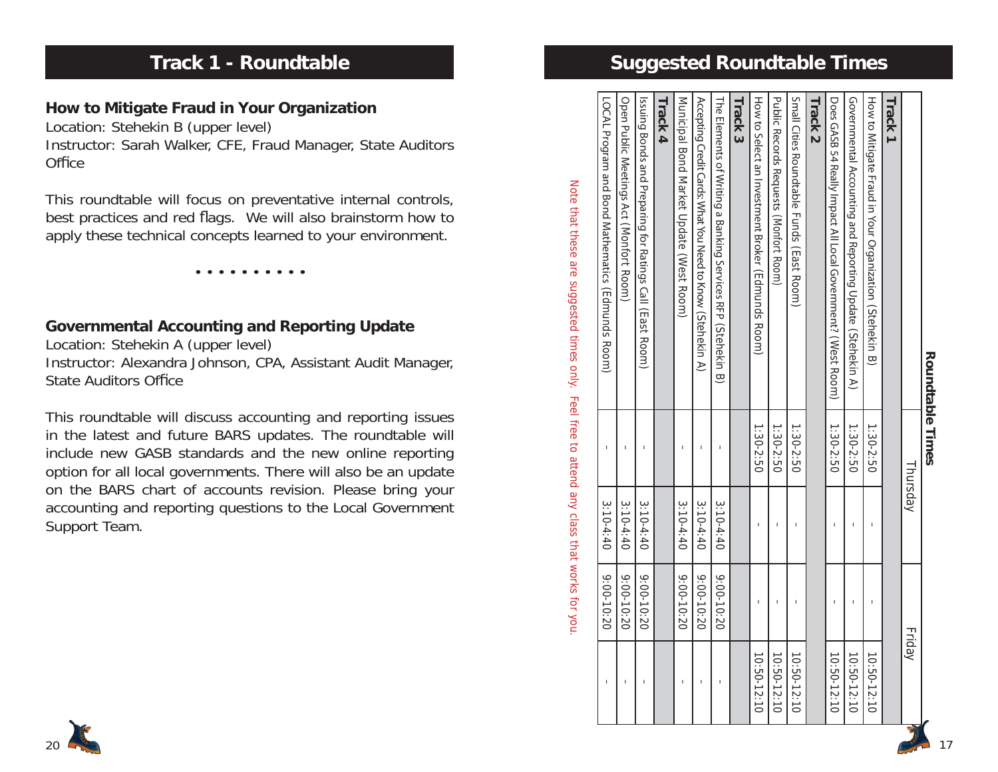# **Track 1 - Roundtable**

### **How to Mitigate Fraud in Your Organization**

Location: Stehekin B (upper level)

Instructor: Sarah Walker, CFE, Fraud Manager, State Auditors Office

This roundtable will focus on preventative internal controls, best practices and red flags. We will also brainstorm how to apply these technical concepts learned to your environment.

• • • • • • • • • •

### **Governmental Accounting and Reporting Update**

Location: Stehekin A (upper level) Instructor: Alexandra Johnson, CPA, Assistant Audit Manager, State Auditors Office

This roundtable will discuss accounting and reporting issues in the latest and future BARS updates. The roundtable will include new GASB standards and the new online reporting option for all local governments. There will also be an update on the BARS chart of accounts revision. Please bring your accounting and reporting questions to the Local Government Support Team.

# **Suggested Roundtable Times**

| <b>Roundtable Times</b>                                                                                              |                |             |              |             |
|----------------------------------------------------------------------------------------------------------------------|----------------|-------------|--------------|-------------|
|                                                                                                                      |                | Thursday    |              | Friday      |
| Track <sub>1</sub>                                                                                                   |                |             |              |             |
| How to Mitigate Fraud in Your Organization (Stehekin B)                                                              | 1:30-2:50      |             |              | 10:50-12:10 |
| Governmental Accounting and Reporting Update (Stehekin A)                                                            | 1:30-2:50      |             |              | 10:50-12:10 |
| Does GASB 54 Really Impact All Local Government? (West Acom)                                                         | 1:30-2:50      |             | ı            | 10:50-12:10 |
| Track <sub>2</sub>                                                                                                   |                |             |              |             |
| Small Cities Roundtable Funds (Flast Room)                                                                           | 1:30-2:50      | I           | I            | 10:50-12:10 |
| <b>Public Records Reduests (Montort Room)</b>                                                                        | 1:30-2:50      |             |              | 10:50-12:10 |
| How to Select an Investment Broker (Edmunds Room)                                                                    | 1:30-2:50      |             |              | 10:50-12:10 |
| Track 3                                                                                                              |                |             |              |             |
| The Elements of Writing a Banking Services RFP (Stehekin B)                                                          |                | $3:10-4:40$ | $9:00-10:20$ |             |
| ACcepting Credit Cards: Sylar Soc Need to Know (Stehekin A)                                                          |                | $3:10-4:40$ | 02:00-10:20  |             |
| Municipal Bond Market Update (West Room)                                                                             |                | $3:10-4:40$ | 9:00-10:20   | ı           |
| Track 4                                                                                                              |                |             |              |             |
| Issuing Bonds and Preparing for Ratings Call (East Room)                                                             |                | $3:10-4:40$ | 9:00-10:20   | I           |
| Open Public Meetings Act (Monfort Room)                                                                              |                | $3:10-4:40$ | 9:00-10:20   |             |
| LOCAL Program and Bond Mathematics (LdHnuds Room)                                                                    | $\overline{1}$ | $3:10-4:40$ | 9:00-10:20   | I           |
| Note that these are suggested times of the to attend any cap shows that worlds specified that the sequence of $\sim$ |                |             |              |             |

20

**Roundtable Times**